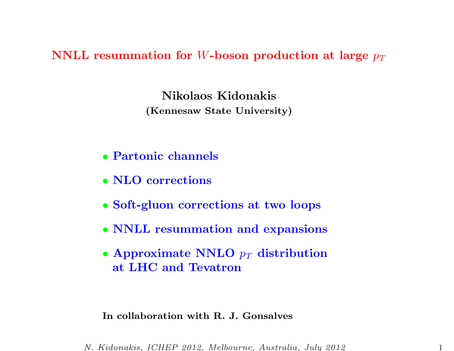NNLL resummation for W-boson production at large  $p_T$ 

Nikolaos Kidonakis (Kennesaw State University)

- Partonic channels
- NLO corrections
- Soft-gluon corrections at two loops
- NNLL resummation and expansions
- Approximate NNLO  $p_T$  distribution at LHC and Tevatron

In collaboration with R. J. Gonsalves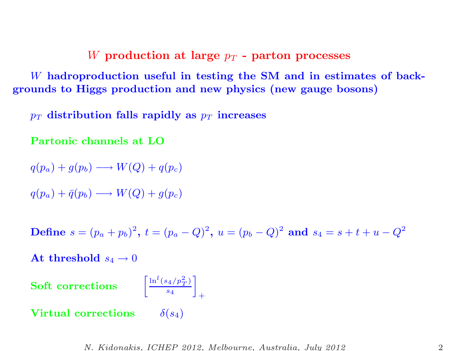W production at large  $p_T$  - parton processes

W hadroproduction useful in testing the SM and in estimates of backgrounds to Higgs production and new <sup>p</sup>hysics (new gauge bosons)

 $p_T$  distribution falls rapidly as  $p_T$  increases

Partonic channels at LO

 $q(p_a) + g(p_b) \longrightarrow W(Q) + q(p_c)$ 

 $q(p_a) + \bar{q}(p_b) \longrightarrow W(Q) + q(p_c)$ 

Define  $s = (p_a + p_b)^2$ ,  $t = (p_a - Q)^2$ ,  $u = (p_b - Q)^2$  and  $s_4 = s + t + u - Q^2$ 

At threshold  $s_4 \rightarrow 0$ 

Soft corrections

$$
\left[ \frac{\ln^l(s_4/p_T^2)}{s_4} \right]_+
$$

Virtual corrections  $\delta(s_4)$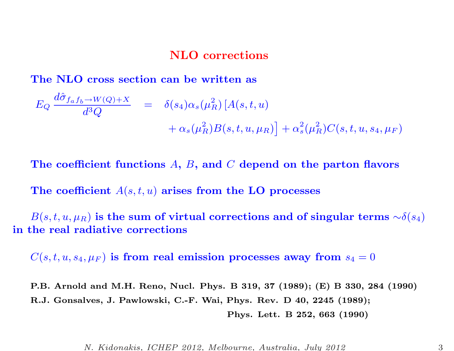### NLO corrections

#### The NLO cross section can be written as

$$
E_Q \frac{d\hat{\sigma}_{f_a f_b \to W(Q)+X}}{d^3 Q} = \delta(s_4) \alpha_s(\mu_R^2) \left[ A(s, t, u) + \alpha_s(\mu_R^2) B(s, t, u, \mu_R) \right] + \alpha_s^2(\mu_R^2) C(s, t, u, s_4, \mu_F)
$$

The coefficient functions  $A, B$ , and  $C$  depend on the parton flavors

The coefficient  $A(s, t, u)$  arises from the LO processes

 $B(s, t, u, \mu_R)$  is the sum of virtual corrections and of singular terms  $\sim \delta(s_4)$ in the real radiative corrections

 $C(s, t, u, s_4, \mu_F)$  is from real emission processes away from  $s_4 = 0$ 

P.B. Arnold and M.H. Reno, Nucl. Phys. <sup>B</sup> 319, <sup>37</sup> (1989); (E) <sup>B</sup> 330, <sup>284</sup> (1990) R.J. Gonsalves, J. Pawlowski, C.-F. Wai, Phys. Rev. <sup>D</sup> 40, <sup>2245</sup> (1989); Phys. Lett. <sup>B</sup> 252, <sup>663</sup> (1990)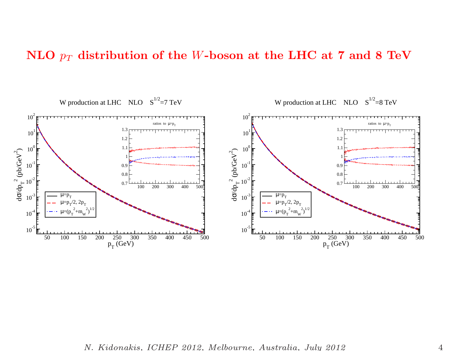## NLO  $p_T$  distribution of the W-boson at the LHC at 7 and 8 TeV



N. Kidonakis, ICHEP 2012, Melbourne, Australia, July 2012 4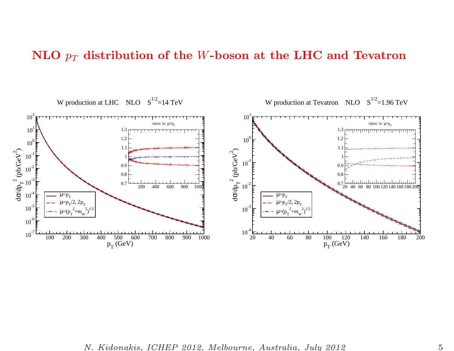## NLO  $p_T$  distribution of the W-boson at the LHC and Tevatron



N. Kidonakis, ICHEP 2012, Melbourne, Australia, July 2012 5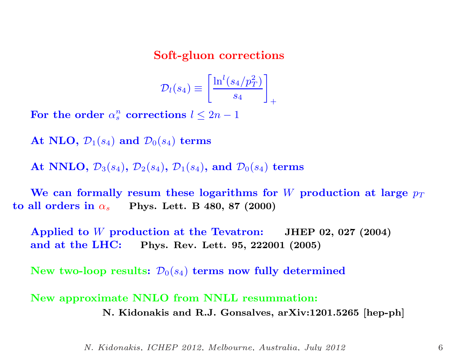### Soft-gluon corrections

$$
\mathcal{D}_l(s_4)\equiv\left[\frac{\ln^l(s_4/p_T^2)}{s_4}\right]_+
$$

For the order  $\alpha_s^n$  corrections  $l \leq 2n-1$ 

At NLO,  $\mathcal{D}_1(s_4)$  and  $\mathcal{D}_0(s_4)$  terms

At NNLO,  $\mathcal{D}_3(s_4)$ ,  $\mathcal{D}_2(s_4)$ ,  $\mathcal{D}_1(s_4)$ , and  $\mathcal{D}_0(s_4)$  terms

We can formally resum these logarithms for W production at large  $p_T$ to all orders in  $\alpha_s$  Phys. Lett. B 480, 87 (2000)

Applied to <sup>W</sup> production at the Tevatron: JHEP 02, <sup>027</sup> (2004) and at the LHC: Phys. Rev. Lett. 95, <sup>222001</sup> (2005)

New two-loop results:  $\mathcal{D}_0(s_4)$  terms now fully determined

# New approximate NNLO from NNLL resummation: N. Kidonakis and R.J. Gonsalves, arXiv:1201.5265 [hep-ph]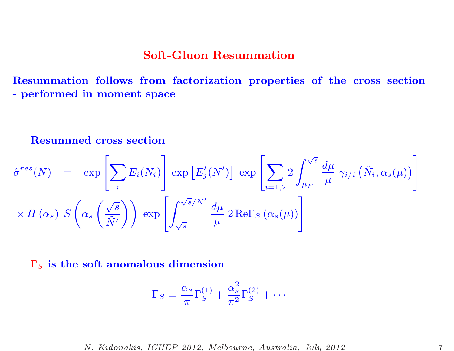### Soft-Gluon Resummation

Resummation follows from factorization properties of the cross section - performed in moment space

Resummed cross section

$$
\hat{\sigma}^{res}(N) = \exp\left[\sum_{i} E_{i}(N_{i})\right] \exp\left[E'_{j}(N')\right] \exp\left[\sum_{i=1,2} 2 \int_{\mu_{F}}^{\sqrt{s}} \frac{d\mu}{\mu} \gamma_{i/i} \left(\tilde{N}_{i}, \alpha_{s}(\mu)\right)\right]
$$

$$
\times H(\alpha_{s}) S\left(\alpha_{s} \left(\frac{\sqrt{s}}{\tilde{N}'}\right)\right) \exp\left[\int_{\sqrt{s}}^{\sqrt{s}/\tilde{N}'} \frac{d\mu}{\mu} 2 \text{Re}\Gamma_{S}\left(\alpha_{s}(\mu)\right)\right]
$$

 $\Gamma_S$  is the soft anomalous dimension

$$
\Gamma_S = \frac{\alpha_s}{\pi} \Gamma_S^{(1)} + \frac{\alpha_s^2}{\pi^2} \Gamma_S^{(2)} + \cdots
$$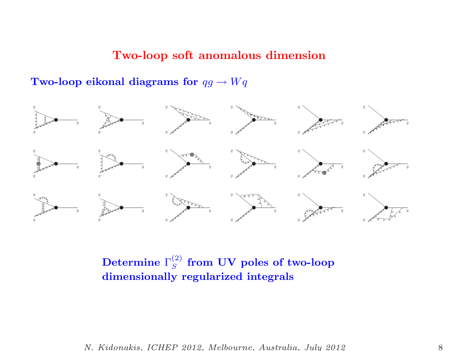### Two-loop soft anomalous dimension

Two-loop eikonal diagrams for  $qg\to W\bar{q}$ 



# Determine  $\Gamma^{(2)}_S$  from UV poles of two-loop dimensionally regularized integrals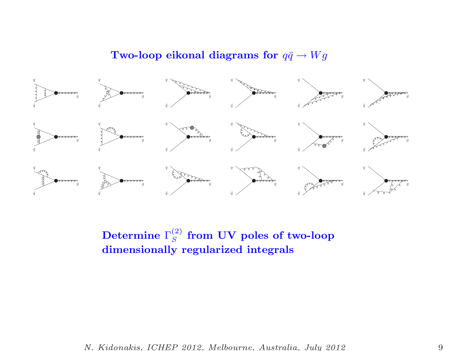Two-loop eikonal diagrams for  $q\bar{q} \rightarrow W g$ 



Determine  $\Gamma_S^{(2)}$  from UV poles of two-loop dimensionally regularized integrals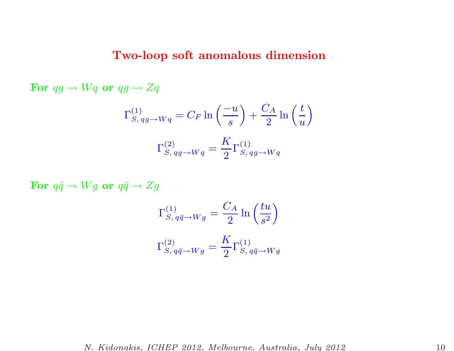## Two-loop soft anomalous dimension

For  $qg \to Wq$  or  $qg \to Zq$ 

$$
\Gamma_{S, qg \to Wq}^{(1)} = C_F \ln \left( \frac{-u}{s} \right) + \frac{C_A}{2} \ln \left( \frac{t}{u} \right)
$$

$$
\Gamma_{S, qg \to Wq}^{(2)} = \frac{K}{2} \Gamma_{S, qg \to Wq}^{(1)}
$$

For  $q\bar{q} \rightarrow W g$  or  $q\bar{q} \rightarrow Z g$ 

$$
\Gamma_{S,\,q\bar{q}\to Wg}^{(1)} = \frac{C_A}{2} \ln\left(\frac{tu}{s^2}\right)
$$

$$
\Gamma_{S,\,q\bar{q}\to Wg}^{(2)} = \frac{K}{2} \Gamma_{S,\,q\bar{q}\to Wg}^{(1)}
$$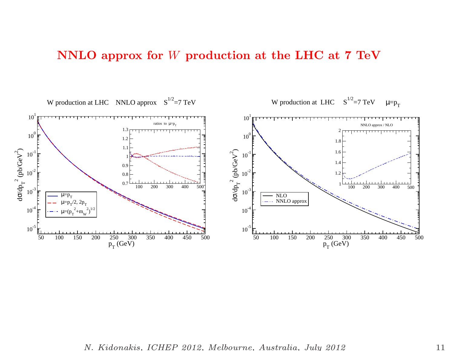## NNLO approx for  $W$  production at the LHC at 7 TeV

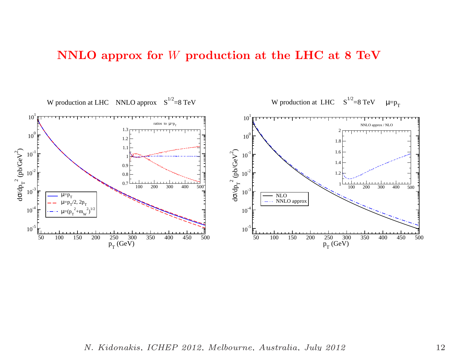## NNLO approx for  $W$  production at the LHC at 8 TeV

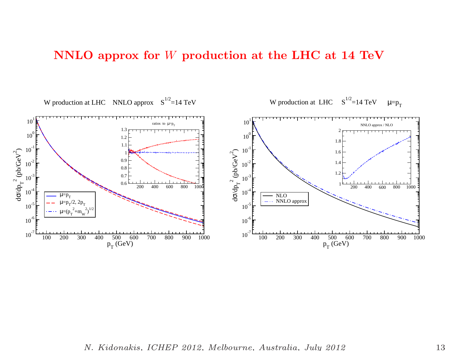## NNLO approx for  $W$  production at the LHC at 14 TeV



N. Kidonakis, ICHEP 2012, Melbourne, Australia, July 2012 13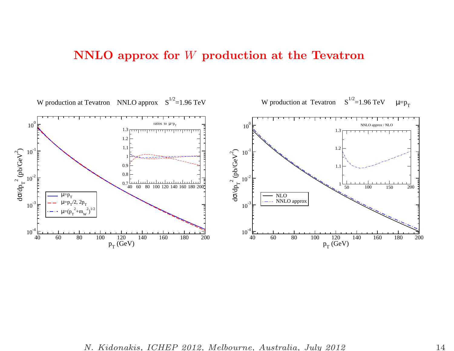### NNLO approx for <sup>W</sup> production at the Tevatron



N. Kidonakis, ICHEP 2012, Melbourne, Australia, July 2012 14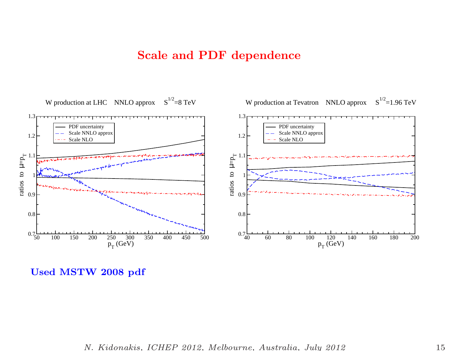### Scale and PDF dependence



Used MSTW 2008 pdf